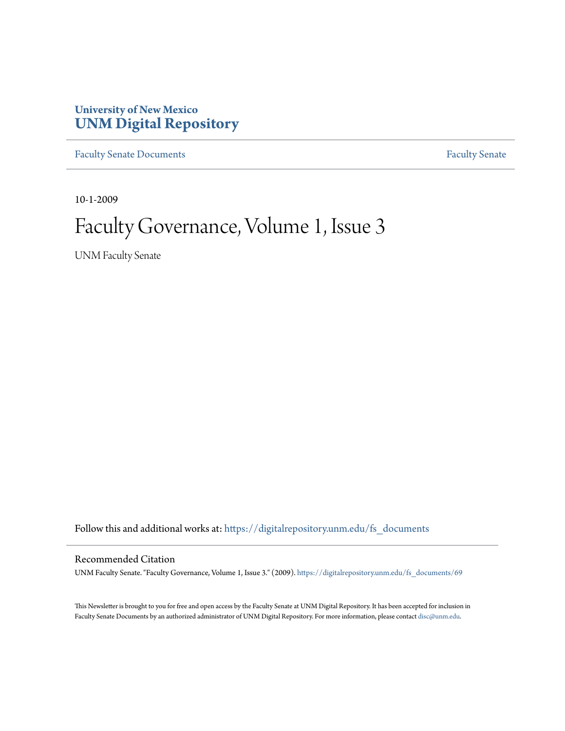### **University of New Mexico [UNM Digital Repository](https://digitalrepository.unm.edu?utm_source=digitalrepository.unm.edu%2Ffs_documents%2F69&utm_medium=PDF&utm_campaign=PDFCoverPages)**

[Faculty Senate Documents](https://digitalrepository.unm.edu/fs_documents?utm_source=digitalrepository.unm.edu%2Ffs_documents%2F69&utm_medium=PDF&utm_campaign=PDFCoverPages) **[Faculty Senate](https://digitalrepository.unm.edu/faculty_senate?utm_source=digitalrepository.unm.edu%2Ffs_documents%2F69&utm_medium=PDF&utm_campaign=PDFCoverPages)** Procuments **Faculty** Senate

10-1-2009

# Faculty Governance, Volume 1, Issue 3

UNM Faculty Senate

Follow this and additional works at: [https://digitalrepository.unm.edu/fs\\_documents](https://digitalrepository.unm.edu/fs_documents?utm_source=digitalrepository.unm.edu%2Ffs_documents%2F69&utm_medium=PDF&utm_campaign=PDFCoverPages)

#### Recommended Citation

UNM Faculty Senate. "Faculty Governance, Volume 1, Issue 3." (2009). [https://digitalrepository.unm.edu/fs\\_documents/69](https://digitalrepository.unm.edu/fs_documents/69?utm_source=digitalrepository.unm.edu%2Ffs_documents%2F69&utm_medium=PDF&utm_campaign=PDFCoverPages)

This Newsletter is brought to you for free and open access by the Faculty Senate at UNM Digital Repository. It has been accepted for inclusion in Faculty Senate Documents by an authorized administrator of UNM Digital Repository. For more information, please contact [disc@unm.edu](mailto:disc@unm.edu).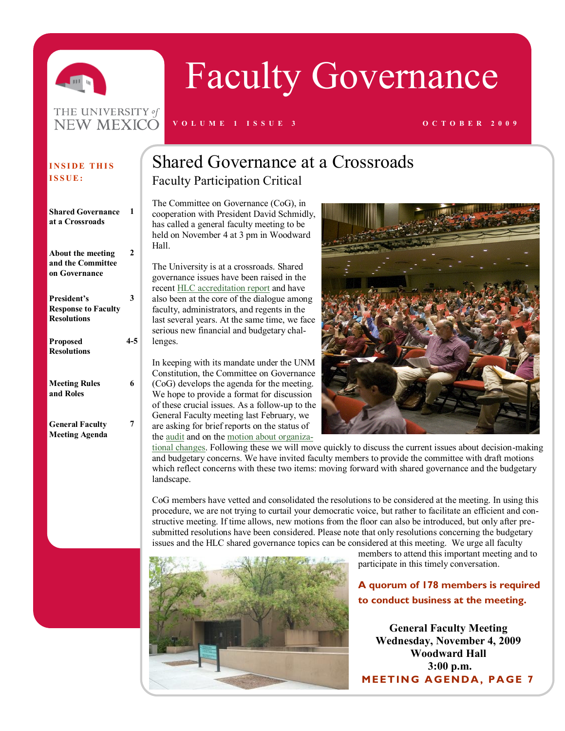

THE UNIVERSITY of NEW MEXICO

# Faculty Governance

#### **V O L U M E 1 I S S U E 3 O C T O B E R 2 0 0 9**

#### **INSIDE THIS I S S U E :**

| <b>Shared Governance</b><br>at a Crossroads                     |     |
|-----------------------------------------------------------------|-----|
| About the meeting<br>and the Committee<br>on Governance         | 2   |
| President's<br><b>Response to Faculty</b><br><b>Resolutions</b> | 3   |
| <b>Proposed</b><br><b>Resolutions</b>                           | 4-5 |
| <b>Meeting Rules</b><br>and Roles                               | 6   |
| <b>General Faculty</b><br><b>Meeting Agenda</b>                 |     |

### Shared Governance at a Crossroads Faculty Participation Critical

The Committee on Governance (CoG), in cooperation with President David Schmidly, has called a general faculty meeting to be held on November 4 at 3 pm in Woodward Hall.

The University is at a crossroads. Shared governance issues have been raised in the recent [HLC accreditation report](http://www.unm.edu/~accred/2009ReportOfAVisit.html) and have also been at the core of the dialogue among faculty, administrators, and regents in the last several years. At the same time, we face serious new financial and budgetary challenges.

In keeping with its mandate under the UNM Constitution, the Committee on Governance (CoG) develops the agenda for the meeting. We hope to provide a format for discussion of these crucial issues. As a follow-up to the General Faculty meeting last February, we are asking for brief reports on the status of the [audit](http://www.unm.edu/%7Emarket/cgi-bin/archives/003678.html) and on the [motion about organiza-](http://www.unm.edu/%7Emarket/cgi-bin/archives/003678.html)



[tional changes.](http://www.unm.edu/%7Emarket/cgi-bin/archives/003678.html) Following these we will move quickly to discuss the current issues about decision-making and budgetary concerns. We have invited faculty members to provide the committee with draft motions which reflect concerns with these two items: moving forward with shared governance and the budgetary landscape.

CoG members have vetted and consolidated the resolutions to be considered at the meeting. In using this procedure, we are not trying to curtail your democratic voice, but rather to facilitate an efficient and constructive meeting. If time allows, new motions from the floor can also be introduced, but only after presubmitted resolutions have been considered. Please note that only resolutions concerning the budgetary issues and the HLC shared governance topics can be considered at this meeting. We urge all faculty



members to attend this important meeting and to participate in this timely conversation.

**A quorum of 178 members is required to conduct business at the meeting.**

**General Faculty Meeting Wednesday, November 4, 2009 Woodward Hall 3:00 p.m. MEETING AGENDA, PAGE 7**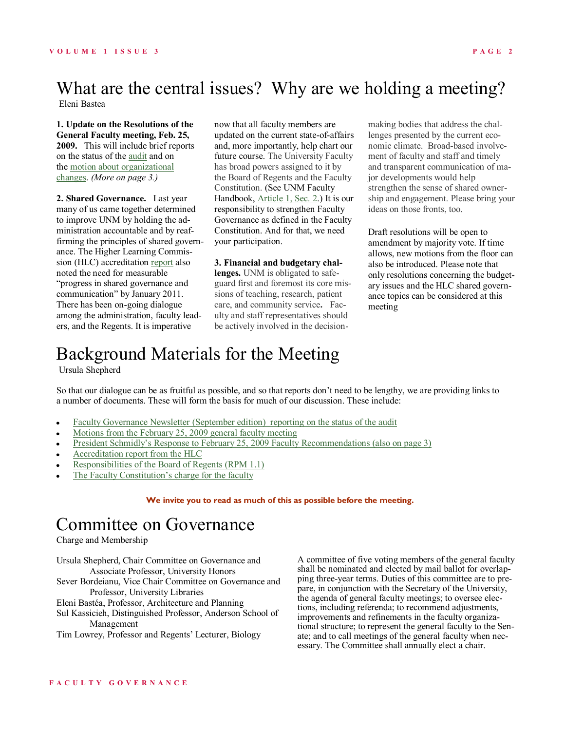### What are the central issues? Why are we holding a meeting?

Eleni Bastea

**1. Update on the Resolutions of the General Faculty meeting, Feb. 25, 2009.** This will include brief reports on the status of the [audit](http://www.unm.edu/%7Emarket/cgi-bin/archives/003678.html) and on the [motion about organizational](http://www.unm.edu/%7Emarket/cgi-bin/archives/003678.html)  [changes.](http://www.unm.edu/%7Emarket/cgi-bin/archives/003678.html) *(More on page 3.)*

**2. Shared Governance.** Last year many of us came together determined to improve UNM by holding the administration accountable and by reaffirming the principles of shared governance. The Higher Learning Commission (HLC) accreditation [report](http://www.unm.edu/~accred/2009ReportOfAVisit.html) also noted the need for measurable "progress in shared governance and communication" by January 2011. There has been on-going dialogue among the administration, faculty leaders, and the Regents. It is imperative

now that all faculty members are updated on the current state-of-affairs and, more importantly, help chart our future course. The University Faculty has broad powers assigned to it by the Board of Regents and the Faculty Constitution. (See UNM Faculty Handbook, [Article 1, Sec. 2.](http://handbook.unm.edu/A51.html)) It is our responsibility to strengthen Faculty Governance as defined in the Faculty Constitution. And for that, we need your participation.

#### **3. Financial and budgetary chal-**

**lenges.** UNM is obligated to safeguard first and foremost its core missions of teaching, research, patient care, and community service**.** Faculty and staff representatives should be actively involved in the decision-

making bodies that address the challenges presented by the current economic climate. Broad-based involvement of faculty and staff and timely and transparent communication of major developments would help strengthen the sense of shared ownership and engagement. Please bring your ideas on those fronts, too.

Draft resolutions will be open to amendment by majority vote. If time allows, new motions from the floor can also be introduced. Please note that only resolutions concerning the budgetary issues and the HLC shared governance topics can be considered at this meeting

### Background Materials for the Meeting

Ursula Shepherd

So that our dialogue can be as fruitful as possible, and so that reports don't need to be lengthy, we are providing links to a number of documents. These will form the basis for much of our discussion. These include:

- [Faculty Governance Newsletter \(September edition\) reporting on the status of the audit](http://facgov.unm.edu/newsletter/NewsletterSeptember2009.pdf)  $\bullet$
- [Motions from the February 25, 2009 general faculty meeting](http://www.unm.edu/~market/cgi-bin/archives/003678.html)  $\bullet$
- [President Schmidly's Response to February 25, 2009 Faculty Recommendations \(also on page 3\)](http://facgov.unm.edu/specialmtg/November2009/President)  $\bullet$
- [Accreditation report from the HLC](http://www.unm.edu/~accred/2009ReportOfAVisit.html)  $\bullet$
- [Responsibilities of the Board of Regents \(RPM 1.1\)](http://www.unm.edu/~brpm/r11.htm)
- [The Faculty Constitution's charge for the faculty](http://www.unm.edu/~handbook/A50.html)

#### **We invite you to read as much of this as possible before the meeting.**

### Committee on Governance

Charge and Membership

Ursula Shepherd, Chair Committee on Governance and Associate Professor, University Honors Sever Bordeianu, Vice Chair Committee on Governance and

Professor, University Libraries Eleni Bastéa, Professor, Architecture and Planning

Sul Kassicieh, Distinguished Professor, Anderson School of Management

Tim Lowrey, Professor and Regents' Lecturer, Biology

A committee of five voting members of the general faculty shall be nominated and elected by mail ballot for overlapping three-year terms. Duties of this committee are to prepare, in conjunction with the Secretary of the University, the agenda of general faculty meetings; to oversee elections, including referenda; to recommend adjustments, improvements and refinements in the faculty organizational structure; to represent the general faculty to the Senate; and to call meetings of the general faculty when necessary. The Committee shall annually elect a chair.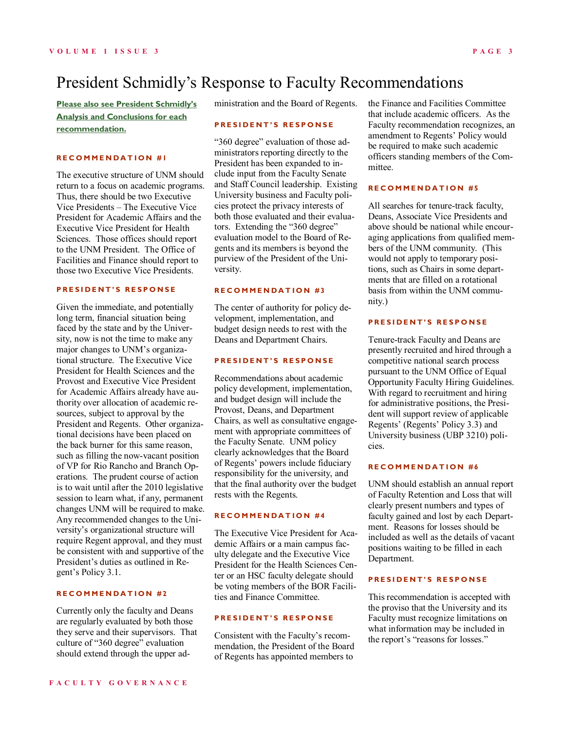**[Please also see President Schmidly's](http://facgov.unm.edu/specialmtg/November2009/President%27s%20Response%20to%20Faculty%20Recommendations%202-25-09%20-%20Narrative%20Version.pdf)  [Analysis and Conclusions for each](http://facgov.unm.edu/specialmtg/November2009/President%27s%20Response%20to%20Faculty%20Recommendations%202-25-09%20-%20Narrative%20Version.pdf)  [recommendation.](http://facgov.unm.edu/specialmtg/November2009/President%27s%20Response%20to%20Faculty%20Recommendations%202-25-09%20-%20Narrative%20Version.pdf)**

#### **R E C O M M E N D A T I O N # 1**

The executive structure of UNM should return to a focus on academic programs. Thus, there should be two Executive Vice Presidents – The Executive Vice President for Academic Affairs and the Executive Vice President for Health Sciences. Those offices should report to the UNM President. The Office of Facilities and Finance should report to those two Executive Vice Presidents.

#### **P R E S I D E N T ' S R E S P O N S E**

Given the immediate, and potentially long term, financial situation being faced by the state and by the University, now is not the time to make any major changes to UNM's organizational structure. The Executive Vice President for Health Sciences and the Provost and Executive Vice President for Academic Affairs already have authority over allocation of academic resources, subject to approval by the President and Regents. Other organizational decisions have been placed on the back burner for this same reason, such as filling the now-vacant position of VP for Rio Rancho and Branch Operations. The prudent course of action is to wait until after the 2010 legislative session to learn what, if any, permanent changes UNM will be required to make. Any recommended changes to the University's organizational structure will require Regent approval, and they must be consistent with and supportive of the President's duties as outlined in Regent's Policy 3.1.

#### **R E C O M M E N D A T I O N # 2**

Currently only the faculty and Deans are regularly evaluated by both those they serve and their supervisors. That culture of "360 degree" evaluation should extend through the upper administration and the Board of Regents.

#### **P R E S I D E N T ' S R E S P O N S E**

"360 degree" evaluation of those administrators reporting directly to the President has been expanded to include input from the Faculty Senate and Staff Council leadership. Existing University business and Faculty policies protect the privacy interests of both those evaluated and their evaluators. Extending the "360 degree" evaluation model to the Board of Regents and its members is beyond the purview of the President of the University.

#### **RECOMMENDATION #3**

The center of authority for policy development, implementation, and budget design needs to rest with the Deans and Department Chairs.

#### **PRESIDENT'S RESPONSE**

Recommendations about academic policy development, implementation, and budget design will include the Provost, Deans, and Department Chairs, as well as consultative engagement with appropriate committees of the Faculty Senate. UNM policy clearly acknowledges that the Board of Regents' powers include fiduciary responsibility for the university, and that the final authority over the budget rests with the Regents.

#### **R E C O M M E N D A T I O N # 4**

The Executive Vice President for Academic Affairs or a main campus faculty delegate and the Executive Vice President for the Health Sciences Center or an HSC faculty delegate should be voting members of the BOR Facilities and Finance Committee.

#### **P R E S I D E N T ' S R E S P O N S E**

Consistent with the Faculty's recommendation, the President of the Board of Regents has appointed members to

the Finance and Facilities Committee that include academic officers. As the Faculty recommendation recognizes, an amendment to Regents' Policy would be required to make such academic officers standing members of the Committee.

#### **RECOMMENDATION #5**

All searches for tenure-track faculty, Deans, Associate Vice Presidents and above should be national while encouraging applications from qualified members of the UNM community. (This would not apply to temporary positions, such as Chairs in some departments that are filled on a rotational basis from within the UNM community.)

#### **P R E S I D E N T ' S R E S P O N S E**

Tenure-track Faculty and Deans are presently recruited and hired through a competitive national search process pursuant to the UNM Office of Equal Opportunity Faculty Hiring Guidelines. With regard to recruitment and hiring for administrative positions, the President will support review of applicable Regents' (Regents' Policy 3.3) and University business (UBP 3210) policies.

#### **R E C O M M E N D A T I O N # 6**

UNM should establish an annual report of Faculty Retention and Loss that will clearly present numbers and types of faculty gained and lost by each Department. Reasons for losses should be included as well as the details of vacant positions waiting to be filled in each Department.

#### **P R E S I D E N T ' S R E S P O N S E**

This recommendation is accepted with the proviso that the University and its Faculty must recognize limitations on what information may be included in the report's "reasons for losses."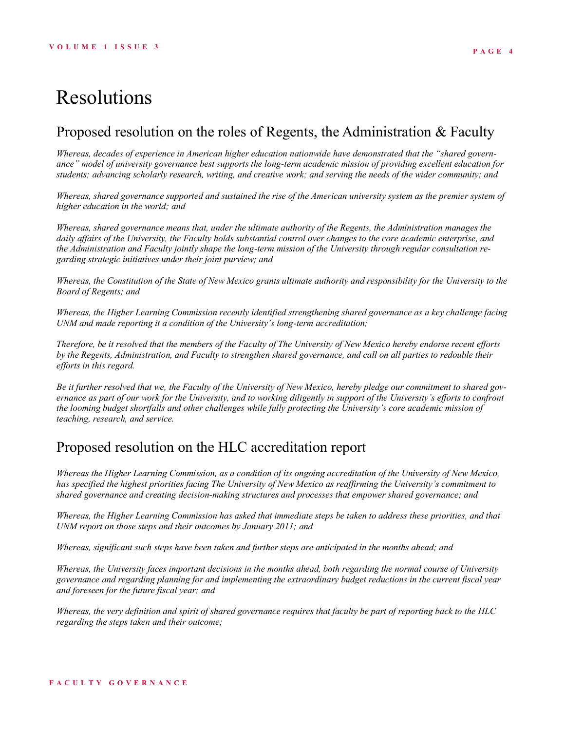### Proposed resolution on the roles of Regents, the Administration & Faculty

*Whereas, decades of experience in American higher education nationwide have demonstrated that the "shared governance" model of university governance best supports the long-term academic mission of providing excellent education for students; advancing scholarly research, writing, and creative work; and serving the needs of the wider community; and*

*Whereas, shared governance supported and sustained the rise of the American university system as the premier system of higher education in the world; and*

*Whereas, shared governance means that, under the ultimate authority of the Regents, the Administration manages the daily affairs of the University, the Faculty holds substantial control over changes to the core academic enterprise, and the Administration and Faculty jointly shape the long-term mission of the University through regular consultation regarding strategic initiatives under their joint purview; and*

*Whereas, the Constitution of the State of New Mexico grants ultimate authority and responsibility for the University to the Board of Regents; and*

*Whereas, the Higher Learning Commission recently identified strengthening shared governance as a key challenge facing UNM and made reporting it a condition of the University's long-term accreditation;*

*Therefore, be it resolved that the members of the Faculty of The University of New Mexico hereby endorse recent efforts by the Regents, Administration, and Faculty to strengthen shared governance, and call on all parties to redouble their efforts in this regard.*

*Be it further resolved that we, the Faculty of the University of New Mexico, hereby pledge our commitment to shared governance as part of our work for the University, and to working diligently in support of the University's efforts to confront the looming budget shortfalls and other challenges while fully protecting the University's core academic mission of teaching, research, and service.*

### Proposed resolution on the HLC accreditation report

*Whereas the Higher Learning Commission, as a condition of its ongoing accreditation of the University of New Mexico, has specified the highest priorities facing The University of New Mexico as reaffirming the University's commitment to shared governance and creating decision-making structures and processes that empower shared governance; and*

*Whereas, the Higher Learning Commission has asked that immediate steps be taken to address these priorities, and that UNM report on those steps and their outcomes by January 2011; and*

*Whereas, significant such steps have been taken and further steps are anticipated in the months ahead; and*

*Whereas, the University faces important decisions in the months ahead, both regarding the normal course of University governance and regarding planning for and implementing the extraordinary budget reductions in the current fiscal year and foreseen for the future fiscal year; and*

*Whereas, the very definition and spirit of shared governance requires that faculty be part of reporting back to the HLC regarding the steps taken and their outcome;*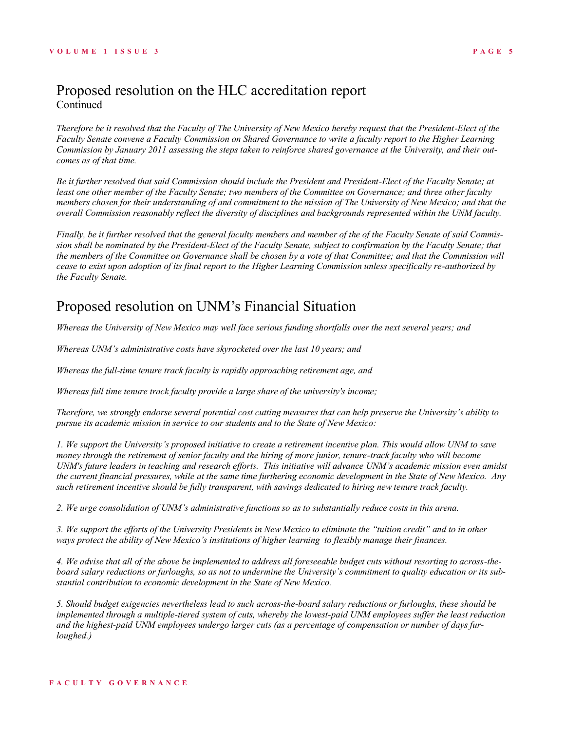### Proposed resolution on the HLC accreditation report Continued

*Therefore be it resolved that the Faculty of The University of New Mexico hereby request that the President-Elect of the Faculty Senate convene a Faculty Commission on Shared Governance to write a faculty report to the Higher Learning Commission by January 2011 assessing the steps taken to reinforce shared governance at the University, and their outcomes as of that time.*

*Be it further resolved that said Commission should include the President and President-Elect of the Faculty Senate; at least one other member of the Faculty Senate; two members of the Committee on Governance; and three other faculty members chosen for their understanding of and commitment to the mission of The University of New Mexico; and that the overall Commission reasonably reflect the diversity of disciplines and backgrounds represented within the UNM faculty.*

*Finally, be it further resolved that the general faculty members and member of the of the Faculty Senate of said Commission shall be nominated by the President-Elect of the Faculty Senate, subject to confirmation by the Faculty Senate; that the members of the Committee on Governance shall be chosen by a vote of that Committee; and that the Commission will cease to exist upon adoption of its final report to the Higher Learning Commission unless specifically re-authorized by the Faculty Senate.*

### Proposed resolution on UNM's Financial Situation

*Whereas the University of New Mexico may well face serious funding shortfalls over the next several years; and*

*Whereas UNM's administrative costs have skyrocketed over the last 10 years; and* 

*Whereas the full-time tenure track faculty is rapidly approaching retirement age, and* 

*Whereas full time tenure track faculty provide a large share of the university's income;*

*Therefore, we strongly endorse several potential cost cutting measures that can help preserve the University's ability to pursue its academic mission in service to our students and to the State of New Mexico:*

*1. We support the University's proposed initiative to create a retirement incentive plan. This would allow UNM to save money through the retirement of senior faculty and the hiring of more junior, tenure-track faculty who will become UNM's future leaders in teaching and research efforts. This initiative will advance UNM's academic mission even amidst the current financial pressures, while at the same time furthering economic development in the State of New Mexico. Any such retirement incentive should be fully transparent, with savings dedicated to hiring new tenure track faculty.* 

*2. We urge consolidation of UNM's administrative functions so as to substantially reduce costs in this arena.*

*3. We support the efforts of the University Presidents in New Mexico to eliminate the "tuition credit" and to in other ways protect the ability of New Mexico's institutions of higher learning to flexibly manage their finances.* 

*4. We advise that all of the above be implemented to address all foreseeable budget cuts without resorting to across-theboard salary reductions or furloughs, so as not to undermine the University's commitment to quality education or its substantial contribution to economic development in the State of New Mexico.* 

*5. Should budget exigencies nevertheless lead to such across-the-board salary reductions or furloughs, these should be implemented through a multiple-tiered system of cuts, whereby the lowest-paid UNM employees suffer the least reduction and the highest-paid UNM employees undergo larger cuts (as a percentage of compensation or number of days furloughed.)*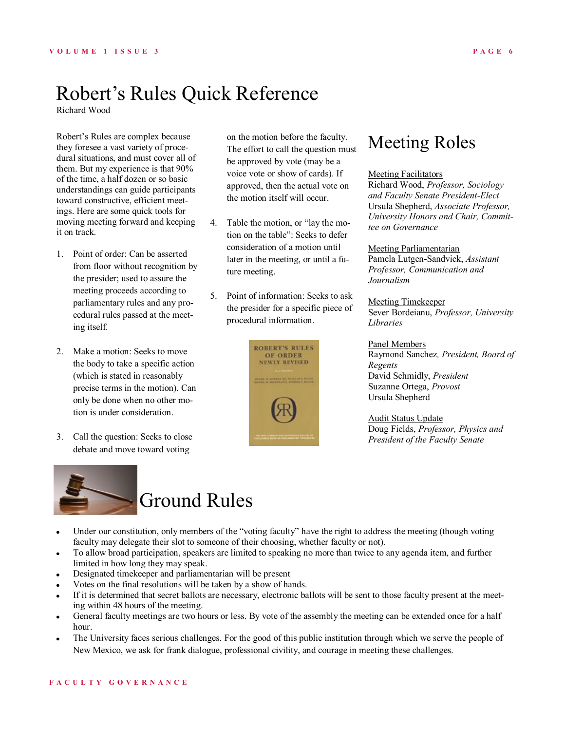## Robert's Rules Quick Reference

Richard Wood

Robert's Rules are complex because they foresee a vast variety of procedural situations, and must cover all of them. But my experience is that 90% of the time, a half dozen or so basic understandings can guide participants toward constructive, efficient meetings. Here are some quick tools for moving meeting forward and keeping it on track.

- 1. Point of order: Can be asserted from floor without recognition by the presider; used to assure the meeting proceeds according to parliamentary rules and any procedural rules passed at the meeting itself.
- 2. Make a motion: Seeks to move the body to take a specific action (which is stated in reasonably precise terms in the motion). Can only be done when no other motion is under consideration.
- 3. Call the question: Seeks to close debate and move toward voting



# Ground Rules

- on the motion before the faculty. The effort to call the question must be approved by vote (may be a voice vote or show of cards). If approved, then the actual vote on the motion itself will occur.
- 4. Table the motion, or "lay the motion on the table": Seeks to defer consideration of a motion until later in the meeting, or until a future meeting.
- 5. Point of information: Seeks to ask the presider for a specific piece of procedural information.



### Meeting Roles

#### Meeting Facilitators

Richard Wood, *Professor, Sociology and Faculty Senate President-Elect* Ursula Shepherd, *Associate Professor, University Honors and Chair, Committee on Governance*

Meeting Parliamentarian Pamela Lutgen-Sandvick, *Assistant Professor, Communication and Journalism*

Meeting Timekeeper Sever Bordeianu, *Professor, University Libraries*

#### Panel Members

Raymond Sanchez*, President, Board of Regents* David Schmidly, *President* Suzanne Ortega, *Provost* Ursula Shepherd

Audit Status Update Doug Fields, *Professor, Physics and President of the Faculty Senate*

- $\bullet$ Under our constitution, only members of the "voting faculty" have the right to address the meeting (though voting faculty may delegate their slot to someone of their choosing, whether faculty or not).
- To allow broad participation, speakers are limited to speaking no more than twice to any agenda item, and further  $\bullet$ limited in how long they may speak.
- Designated timekeeper and parliamentarian will be present  $\bullet$
- Votes on the final resolutions will be taken by a show of hands.
- If it is determined that secret ballots are necessary, electronic ballots will be sent to those faculty present at the meet- $\bullet$ ing within 48 hours of the meeting.
- General faculty meetings are two hours or less. By vote of the assembly the meeting can be extended once for a half  $\bullet$ hour.
- The University faces serious challenges. For the good of this public institution through which we serve the people of  $\bullet$ New Mexico, we ask for frank dialogue, professional civility, and courage in meeting these challenges.